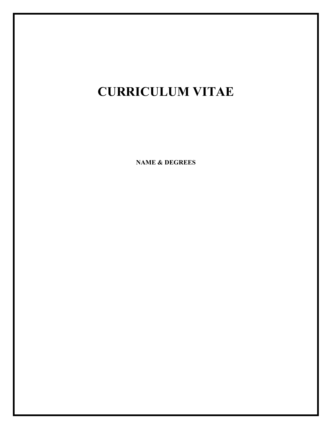# **CURRICULUM VITAE**

**NAME & DEGREES**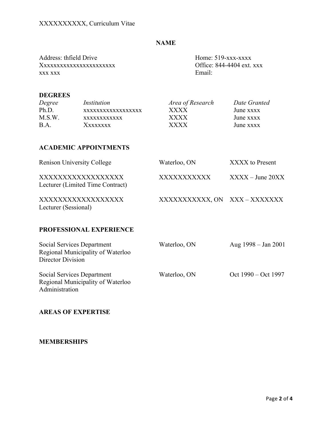# **NAME**

Address: thfield Drive Home: 519-xxx-xxxx Xxxxxxxxxxxxxxxxxxxxxxx Office: 844-4404 ext. xxx xxx xxx Email:

#### **DEGREES**

| Degree | Institution       | Area of Research | Date Granted |
|--------|-------------------|------------------|--------------|
| Ph.D.  | XXXXXXXXXXXXXXXXX | <b>XXXX</b>      | June xxxx    |
| M.S.W. | xxxxxxxxxxxx      | <b>XXXX</b>      | June xxxx    |
| B A    | Xxxxxxx           | <b>XXXX</b>      | June xxxx    |

# **ACADEMIC APPOINTMENTS**

| <b>Renison University College</b>                     | Waterloo, ON                | XXXX to Present   |
|-------------------------------------------------------|-----------------------------|-------------------|
| XXXXXXXXXXXXXXXXX<br>Lecturer (Limited Time Contract) | XXXXXXXXXX                  | $XXX - June 20XX$ |
| XXXXXXXXXXXXXXXXX<br>Lecturer (Sessional)             | XXXXXXXXXXX, ON XXX-XXXXXXX |                   |

# **PROFESSIONAL EXPERIENCE**

| Social Services Department<br>Regional Municipality of Waterloo<br>Director Division | Waterloo, ON | Aug $1998 - Jan 2001$ |
|--------------------------------------------------------------------------------------|--------------|-----------------------|
| Social Services Department<br>Regional Municipality of Waterloo<br>Administration    | Waterloo, ON | Oct 1990 – Oct 1997   |

## **AREAS OF EXPERTISE**

## **MEMBERSHIPS**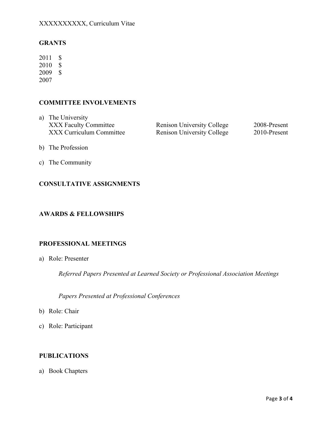# XXXXXXXXXX, Curriculum Vitae

## **GRANTS**

 2011 \$ 2010 \$ 2009 \$ 2007

# **COMMITTEE INVOLVEMENTS**

**XXX Faculty Committee XXX Curriculum Committee** a) The University

Renison University College 2008-Present Renison University College 2010-Present

- b) The Profession
- c) The Community

#### **CONSULTATIVE ASSIGNMENTS**

#### **AWARDS & FELLOWSHIPS**

#### **PROFESSIONAL MEETINGS**

a) Role: Presenter

*Referred Papers Presented at Learned Society or Professional Association Meetings* 

*Papers Presented at Professional Conferences* 

- b) Role: Chair
- c) Role: Participant

#### **PUBLICATIONS**

a) Book Chapters